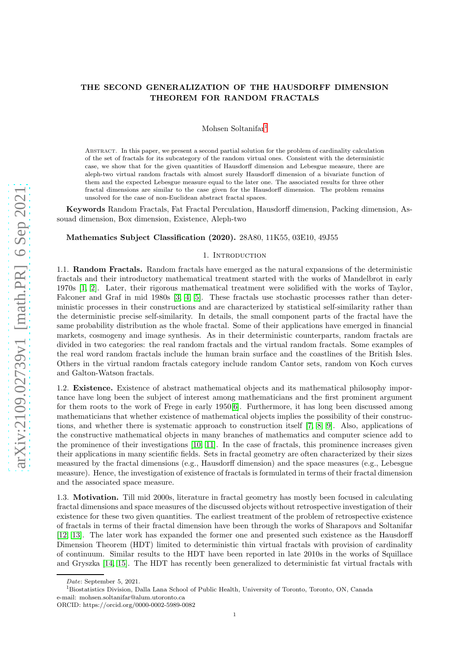# THE SECOND GENERALIZATION OF THE HAUSDORFF DIMENSION THEOREM FOR RANDOM FRACTALS

Mohsen Soltanifar<sup>[1](#page-0-0)</sup>

Abstract. In this paper, we present a second partial solution for the problem of cardinality calculation of the set of fractals for its subcategory of the random virtual ones. Consistent with the deterministic case, we show that for the given quantities of Hausdorff dimension and Lebesgue measure, there are aleph-two virtual random fractals with almost surely Hausdorff dimension of a bivariate function of them and the expected Lebesgue measure equal to the later one. The associated results for three other fractal dimensions are similar to the case given for the Hausdorff dimension. The problem remains unsolved for the case of non-Euclidean abstract fractal spaces.

Keywords Random Fractals, Fat Fractal Perculation, Hausdorff dimension, Packing dimension, Assouad dimension, Box dimension, Existence, Aleph-two

## Mathematics Subject Classification (2020). 28A80, 11K55, 03E10, 49J55

#### 1. Introduction

1.1. Random Fractals. Random fractals have emerged as the natural expansions of the deterministic fractals and their introductory mathematical treatment started with the works of Mandelbrot in early 1970s [\[1,](#page-6-0) [2\]](#page-6-1). Later, their rigorous mathematical treatment were solidified with the works of Taylor, Falconer and Graf in mid 1980s [\[3,](#page-6-2) [4,](#page-6-3) [5\]](#page-6-4). These fractals use stochastic processes rather than deterministic processes in their constructions and are characterized by statistical self-similarity rather than the deterministic precise self-similarity. In details, the small component parts of the fractal have the same probability distribution as the whole fractal. Some of their applications have emerged in financial markets, cosmogeny and image synthesis. As in their deterministic counterparts, random fractals are divided in two categories: the real random fractals and the virtual random fractals. Some examples of the real word random fractals include the human brain surface and the coastlines of the British Isles. Others in the virtual random fractals category include random Cantor sets, random von Koch curves and Galton-Watson fractals.

1.2. Existence. Existence of abstract mathematical objects and its mathematical philosophy importance have long been the subject of interest among mathematicians and the first prominent argument for them roots to the work of Frege in early 1950[\[6\]](#page-6-5). Furthermore, it has long been discussed among mathematicians that whether existence of mathematical objects implies the possibility of their constructions, and whether there is systematic approach to construction itself [\[7,](#page-6-6) [8,](#page-6-7) [9\]](#page-6-8). Also, applications of the constructive mathematical objects in many branches of mathematics and computer science add to the prominence of their investigations [\[10,](#page-6-9) [11\]](#page-6-10). In the case of fractals, this prominence increases given their applications in many scientific fields. Sets in fractal geometry are often characterized by their sizes measured by the fractal dimensions (e.g., Hausdorff dimension) and the space measures (e.g., Lebesgue measure). Hence, the investigation of existence of fractals is formulated in terms of their fractal dimension and the associated space measure.

1.3. Motivation. Till mid 2000s, literature in fractal geometry has mostly been focused in calculating fractal dimensions and space measures of the discussed objects without retrospective investigation of their existence for these two given quantities. The earliest treatment of the problem of retrospective existence of fractals in terms of their fractal dimension have been through the works of Sharapovs and Soltanifar [\[12,](#page-6-11) [13\]](#page-6-12). The later work has expanded the former one and presented such existence as the Hausdorff Dimension Theorem (HDT) limited to deterministic thin virtual fractals with provision of cardinality of continuum. Similar results to the HDT have been reported in late 2010s in the works of Squillace and Gryszka [\[14,](#page-6-13) [15\]](#page-6-14). The HDT has recently been generalized to deterministic fat virtual fractals with

Date: September 5, 2021.

<span id="page-0-0"></span><sup>1</sup>Biostatistics Division, Dalla Lana School of Public Health, University of Toronto, Toronto, ON, Canada e-mail: mohsen.soltanifar@alum.utoronto.ca ORCID: https://orcid.org/0000-0002-5989-0082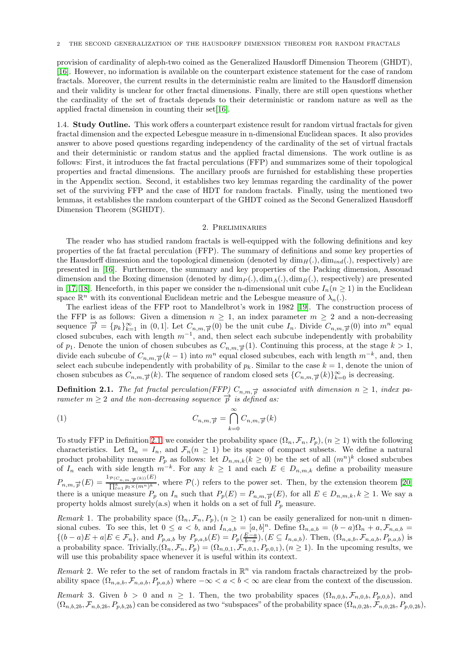provision of cardinality of aleph-two coined as the Generalized Hausdorff Dimension Theorem (GHDT), [\[16\]](#page-6-15). However, no information is available on the counterpart existence statement for the case of random fractals. Moreover, the current results in the deterministic realm are limited to the Hausdorff dimension and their validity is unclear for other fractal dimensions. Finally, there are still open questions whether the cardinality of the set of fractals depends to their deterministic or random nature as well as the applied fractal dimension in counting their set[\[16\]](#page-6-15).

1.4. Study Outline. This work offers a counterpart existence result for random virtual fractals for given fractal dimension and the expected Lebesgue measure in n-dimensional Euclidean spaces. It also provides answer to above posed questions regarding independency of the cardinality of the set of virtual fractals and their deterministic or random status and the applied fractal dimensions. The work outline is as follows: First, it introduces the fat fractal perculations (FFP) and summarizes some of their topological properties and fractal dimensions. The ancillary proofs are furnished for establishing these properties in the Appendix section. Second, it establishes two key lemmas regarding the cardinality of the power set of the surviving FFP and the case of HDT for random fractals. Finally, using the mentioned two lemmas, it establishes the random counterpart of the GHDT coined as the Second Generalized Hausdorff Dimension Theorem (SGHDT).

### 2. Preliminaries

The reader who has studied random fractals is well-equipped with the following definitions and key properties of the fat fractal perculation (FFP). The summary of definitions and some key properties of the Hausdorff dimesnion and the topological dimension (denoted by  $\dim_H(.)$ ,  $\dim_{ind}(.)$ , respectively) are presented in [\[16\]](#page-6-15). Furthermore, the summary and key properties of the Packing dimension, Assouad dimension and the Boxing dimension (denoted by  $\dim_P(.)$ ,  $\dim_A(.)$ ,  $\dim_B(.)$ , respectively) are presented in [\[17,](#page-6-16) [18\]](#page-6-17). Henceforth, in this paper we consider the n-dimensional unit cube  $I_n(n \geq 1)$  in the Euclidean space  $\mathbb{R}^n$  with its conventional Euclidean metric and the Lebesgue measure of  $\lambda_n(.)$ .

The earliest ideas of the FFP root to Mandelbrot's work in 1982 [\[19\]](#page-6-18). The construction process of the FFP is as follows: Given a dimension  $n \geq 1$ , an index parameter  $m \geq 2$  and a non-decreasing sequence  $\vec{p} = \{p_k\}_{k=1}^{\infty}$  in (0, 1]. Let  $C_{n,m,\vec{p}}(0)$  be the unit cube  $I_n$ . Divide  $C_{n,m,\vec{p}}(0)$  into  $m^n$  equal closed subcubes, each with length  $m^{-1}$ , and, then select each subcube independently with probability of  $p_1$ . Denote the union of chosen subcubes as  $C_{n,m,\vec{p}}(1)$ . Continuing this process, at the stage  $k > 1$ , divide each subcube of  $C_{n,m,\vec{p}}(k-1)$  into  $m^n$  equal closed subcubes, each with length  $m^{-k}$ , and, then select each subcube independently with probability of  $p_k$ . Similar to the case  $k = 1$ , denote the union of chosen subcubes as  $C_{n,m,\vec{p}}(k)$ . The sequence of random closed sets  $\{C_{n,m,\vec{p}}(k)\}_{k=0}^{\infty}$  is decreasing.

<span id="page-1-0"></span>**Definition 2.1.** The fat fractal perculation(FFP)  $C_{n,m,\vec{p}}$  associated with dimension  $n \geq 1$ , index parameter  $m \geq 2$  and the non-decreasing sequence  $\vec{p}$  is defined as:

(1) 
$$
C_{n,m,\overrightarrow{p}} = \bigcap_{k=0}^{\infty} C_{n,m,\overrightarrow{p}}(k)
$$

To study FFP in Definition [2.1,](#page-1-0) we consider the probability space  $(\Omega_n, \mathcal{F}_n, P_p)$ ,  $(n \geq 1)$  with the following characteristics. Let  $\Omega_n = I_n$ , and  $\mathcal{F}_n(n \geq 1)$  be its space of compact subsets. We define a natural product probability measure  $P_p$  as follows: let  $D_{n,m,k}(k \geq 0)$  be the set of all  $(m^n)^k$  closed subcubes of  $I_n$  each with side length  $m^{-k}$ . For any  $k \geq 1$  and each  $E \in D_{n,m,k}$  define a probaility measure  $P_{n,m,\overrightarrow{p}}(E) = \frac{\mathbb{1}_{\mathcal{P}(C_{n,m,\overrightarrow{p}}(k))}(E)}{\prod_{k=1}^{k} p_k \times (m^k)^k}$  $\frac{\sum_{n,m,\overline{\beta}}^{k}(\mathbf{x}_{n},\mathbf{w},\overline{\beta}}{\prod_{k=1}^{k}p_{k}\times(m^{n})^{k}}$ , where  $\mathcal{P}(.)$  refers to the power set. Then, by the extension theorem [\[20\]](#page-6-19) there is a unique measure  $P_p$  on  $I_n$  such that  $P_p(E) = P_{n,m,\vec{p}}(E)$ , for all  $E \in D_{n,m,k}, k \ge 1$ . We say a property holds almost surely(a.s) when it holds on a set of full  $P_p$  measure.

Remark 1. The probability space  $(\Omega_n, \mathcal{F}_n, P_p), (n \geq 1)$  can be easily generalized for non-unit n dimensional cubes. To see this, let  $0 \le a < b$ , and  $I_{n,a,b} = [a,b]^n$ . Define  $\Omega_{n,a,b} = (b-a)\Omega_n + a$ ,  $\mathcal{F}_{n,a,b} =$  $\{(b-a)E + a|E \in \mathcal{F}_n\}$ , and  $P_{p,a,b}$  by  $P_{p,a,b}(E) = P_p(\frac{E-a}{b-a})$ ,  $(E \subseteq I_{n,a,b})$ . Then,  $(\Omega_{n,a,b}, \mathcal{F}_{n,a,b}, P_{p,a,b})$  is a probability space. Trivially, $(\Omega_n, \mathcal{F}_n, P_p) = (\Omega_{n,0,1}, \mathcal{F}_{n,0,1}, P_{p,0,1}), (n \ge 1)$ . In the upcoming results, we will use this probability space whenever it is useful within its context.

Remark 2. We refer to the set of random fractals in  $\mathbb{R}^n$  via random fractals charactreized by the probability space  $(\Omega_{n,a,b}, \mathcal{F}_{n,a,b}, P_{p,a,b})$  where  $-\infty < a < b < \infty$  are clear from the context of the discussion.

<span id="page-1-1"></span>Remark 3. Given  $b > 0$  and  $n \ge 1$ . Then, the two probability spaces  $(\Omega_{n,0,b}, \mathcal{F}_{n,0,b}, P_{p,0,b})$ , and  $(\Omega_{n,b,2b}, \mathcal{F}_{n,b,2b}, P_{p,b,2b})$  can be considered as two "subspaces" of the probability space  $(\Omega_{n,0,2b}, \mathcal{F}_{n,0,2b}, P_{p,0,2b})$ ,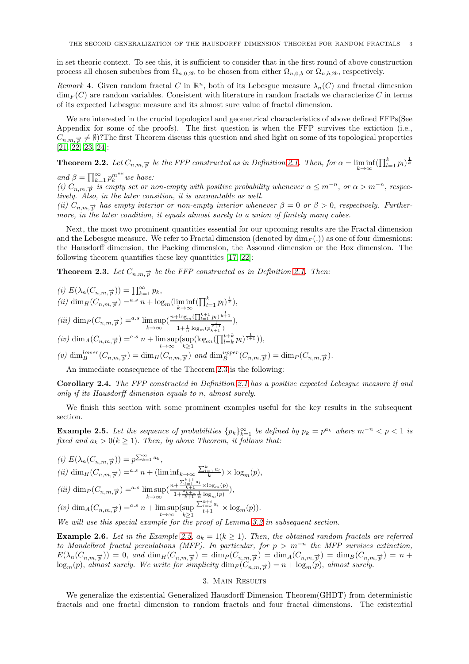in set theoric context. To see this, it is sufficient to consider that in the first round of above construction process all chosen subcubes from  $\Omega_{n,0,2b}$  to be chosen from either  $\Omega_{n,0,b}$  or  $\Omega_{n,b,2b}$ , respectively.

Remark 4. Given random fractal C in  $\mathbb{R}^n$ , both of its Lebesgue measure  $\lambda_n(C)$  and fractal dimesnion  $\dim_F(C)$  are random variables. Consistent with literature in random fractals we characterize C in terms of its expected Lebesgue measure and its almost sure value of fractal dimension.

We are interested in the crucial topological and geometrical characteristics of above defined FFPs(See Appendix for some of the proofs). The first question is when the FFP survives the extiction (i.e.,  $C_{n,m,\vec{p}} \neq \emptyset$ ?The first Theorem discuss this question and shed light on some of its topological properties [\[21,](#page-6-20) [22,](#page-7-0) [23,](#page-7-1) [24\]](#page-7-2):

<span id="page-2-2"></span>**Theorem 2.2.** Let  $C_{n,m,\overrightarrow{p}}$  be the FFP constructed as in Definition [2.1.](#page-1-0) Then, for  $\alpha = \liminf_{k \to \infty} (\prod_{l=1}^k p_l)^{\frac{1}{k}}$ 

and  $\beta = \prod_{k=1}^{\infty} p_k^{m^{nk}}$  we have:

(i)  $C_{n,m,\overrightarrow{p}}$  is empty set or non-empty with positive probability whenever  $\alpha \leq m^{-n}$ , or  $\alpha > m^{-n}$ , respectively. Also, in the later consition, it is uncountable as well.

(ii)  $C_{n,m,\vec{p}}$  has empty interior or non-empty interior whenever  $\beta = 0$  or  $\beta > 0$ , respectively. Furthermore, in the later condition, it equals almost surely to a union of finitely many cubes.

Next, the most two prominent quantities essential for our upcoming results are the Fractal dimension and the Lebesgue measure. We refer to Fractal dimension (denoted by  $\dim_F(.)$ ) as one of four dimesnions: the Hausdorff dimension, the Packing dimension, the Assouad dimension or the Box dimension. The following theorem quantifies these key quantities [\[17,](#page-6-16) [22\]](#page-7-0):

<span id="page-2-0"></span>**Theorem 2.3.** Let  $C_{n,m,\overrightarrow{p}}$  be the FFP constructed as in Definition [2.1.](#page-1-0) Then:

(i) 
$$
E(\lambda_n(C_{n,m,\overrightarrow{p}})) = \prod_{k=1}^{\infty} p_k
$$
,  
\n(ii)  $\dim_H(C_{n,m,\overrightarrow{p}}) = {}^{a.s} n + \log_m(\liminf_{k \to \infty} (\prod_{l=1}^k p_l)^{\frac{1}{k}})$ ,  
\n(iii)  $\dim_P(C_{n,m,\overrightarrow{p}}) = {}^{a.s} \limsup_{k \to \infty} (\frac{n + \log_m(\prod_{l=1}^{k+1} p_l)^{\frac{1}{k+1}}}{1 + \frac{1}{n} \log_m(p_{k+1}^{\frac{1}{k+1}})}$ ,

$$
(iv)
$$
 dim<sub>A</sub> $(C_{n,m,\vec{p}})$  =<sup>a.s</sup> n + lim sup<sub>t\to\infty</sub> [sup<sub>l</sub>log<sub>m</sub> $(\prod_{l=k}^{t+k} p_l)^{\frac{1}{t+1}})$ ],

(v)  $\dim_B^{lower}(C_{n,m,\overrightarrow{p}}) = \dim_H(C_{n,m,\overrightarrow{p}})$  and  $\dim_B^{upper}(C_{n,m,\overrightarrow{p}}) = \dim_P(C_{n,m,\overrightarrow{p}})$ .

An immediate consequence of the Theorem [2.3](#page-2-0) is the following:

<span id="page-2-3"></span>Corollary 2.4. The FFP constructed in Definition [2.1](#page-1-0) has a positive expected Lebesgue measure if and only if its Hausdorff dimension equals to n, almost surely.

We finish this section with some prominent examples useful for the key results in the subsequent section.

<span id="page-2-1"></span>**Example 2.5.** Let the sequence of probabilities  $\{p_k\}_{k=1}^{\infty}$  be defined by  $p_k = p^{a_k}$  where  $m^{-n} < p < 1$  is fixed and  $a_k > 0 (k \ge 1)$ . Then, by above Theorem, it follows that:

(i) 
$$
E(\lambda_n(C_{n,m,\overrightarrow{p}})) = p^{\sum_{k=1}^{\infty} a_k}
$$
,  
\n(ii)  $\dim_H(C_{n,m,\overrightarrow{p}}) =^{a.s} n + (\liminf_{k \to \infty} \frac{\sum_{l=1}^k a_l}{k}) \times \log_m(p)$ ,  
\n(iii)  $\dim_P(C_{n,m,\overrightarrow{p}}) =^{a.s} \limsup_{k \to \infty} (\frac{n + \frac{\sum_{l=1}^{k+1} a_l}{k+1} \times \log_m(p)}{1 + \frac{a_{k+1}}{k+1} \frac{1}{n} \log_m(p)})$ ,  
\n(iv)  $\dim_A(C_{n,m,\overrightarrow{p}}) =^{a.s} n + \limsup_{t \to \infty} (\sup_{k \geq 1} \frac{\sum_{l=k}^{k+1} a_l}{t+1} \times \log_m(p))$ .  
\nWe will use this special example for the proof of Lemma 3.2 in subsequent section.

**Example 2.6.** Let in the Example [2.5,](#page-2-1)  $a_k = 1(k \ge 1)$ . Then, the obtained random fractals are referred to Mandelbrot fractal perculations (MFP). In particular, for  $p > m^{-n}$  the MFP survives extinction,  $E(\lambda_n(C_{n,m,\overrightarrow{p}})) = 0$ , and  $\dim_H(C_{n,m,\overrightarrow{p}}) = \dim_P(C_{n,m,\overrightarrow{p}}) = \dim_A(C_{n,m,\overrightarrow{p}}) = \dim_B(C_{n,m,\overrightarrow{p}}) = n +$  $\log_m(p)$ , almost surely. We write for simplicity  $\dim_F(C_{n,m,\overrightarrow{p}}) = n + \log_m(p)$ , almost surely.

## 3. Main Results

We generalize the existential Generalized Hausdorff Dimension Theorem(GHDT) from deterministic fractals and one fractal dimension to random fractals and four fractal dimensions. The existential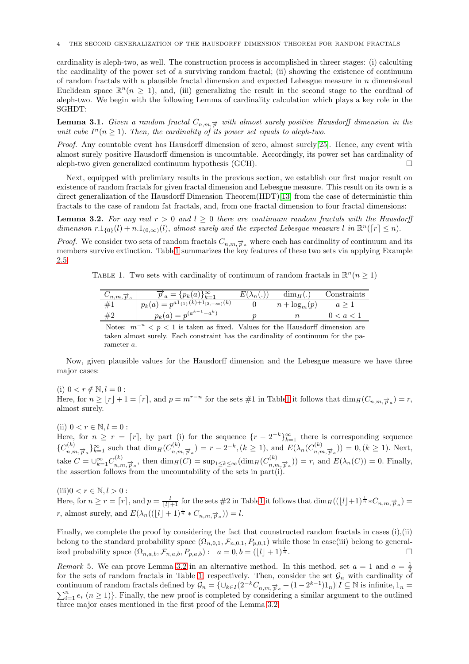cardinality is aleph-two, as well. The construction process is accomplished in threer stages: (i) calculting the cardinality of the power set of a surviving random fractal; (ii) showing the existence of continuum of random fractals with a plausible fractal dimension and expected Lebesgue measure in  $n$  dimensional Euclidean space  $\mathbb{R}^n(n \geq 1)$ , and, (iii) generalizing the result in the second stage to the cardinal of aleph-two. We begin with the following Lemma of cardinality calculation which plays a key role in the SGHDT:

<span id="page-3-2"></span>**Lemma 3.1.** Given a random fractal  $C_{n,m,\vec{p}}$  with almost surely positive Hausdorff dimension in the unit cube  $I^n(n \geq 1)$ . Then, the cardinality of its power set equals to aleph-two.

Proof. Any countable event has Hausdorff dimension of zero, almost surely[\[25\]](#page-7-3). Hence, any event with almost surely positive Hausdorff dimension is uncountable. Accordingly, its power set has cardinality of aleph-two given generalized continuum hypothesis (GCH).  $\Box$ 

Next, equipped with prelimiary results in the previous section, we establish our first major result on existence of random fractals for given fractal dimension and Lebesgue measure. This result on its own is a direct generalization of the Hausdorff Dimension Theorem(HDT)[\[13\]](#page-6-12) from the case of deterministic thin fractals to the case of random fat fractals, and, from one fractal dimension to four fractal dimensions:

<span id="page-3-0"></span>**Lemma 3.2.** For any real  $r > 0$  and  $l \geq 0$  there are continuum random fractals with the Hausdorff dimension  $r \cdot 1_{\{0\}}(l) + n \cdot 1_{(0,\infty)}(l)$ , almost surely and the expected Lebesgue measure l in  $\mathbb{R}^n(\lceil r \rceil \leq n)$ .

<span id="page-3-1"></span>*Proof.* We consider two sets of random fractals  $C_{n,m,\vec{p}_a}$  where each has cardinality of continuum and its members survive extinction. Tabl[e1](#page-3-1) summarizes the key features of these two sets via applying Example [2.5:](#page-2-1)

TABLE 1. Two sets with cardinality of continuum of random fractals in  $\mathbb{R}^n$  ( $n \geq 1$ )

| $\sigma_{n,m, p_a}$ | $\overrightarrow{p}_a = \{p_k(a)\}_{k=1}^{\infty}$             | $\Lambda_n$ | $\dim_H($ .     | $_{\text{Constraints}}$ |
|---------------------|----------------------------------------------------------------|-------------|-----------------|-------------------------|
| ⊥#                  | $p_k(a) = p^{a \overline{1_{\{1\}}(k) + 1_{[2, +\infty)}(k)}}$ |             | $n + \log_m(p)$ |                         |
| #2                  | $p_k(a) = p^{(a^{k-1}-a^k)}$                                   |             |                 |                         |

Notes:  $m^{-n} < p < 1$  is taken as fixed. Values for the Hausdorff dimension are taken almost surely. Each constraint has the cardinality of continuum for the parameter a.

Now, given plausible values for the Hausdorff dimension and the Lebesgue measure we have three major cases:

(i)  $0 < r \notin \mathbb{N}, l = 0$ : Here, for  $n \geq \lfloor r \rfloor + 1 = \lceil r \rceil$ , and  $p = m^{r-n}$  for the sets #1 in Tabl[e1](#page-3-1) it follows that  $\dim_H(C_{n,m,\vec{p}_a}) = r$ , almost surely.

(ii)  $0 < r \in \mathbb{N}, l = 0$ :

Here, for  $n \geq r = [r]$ , by part (i) for the sequence  $\{r-2^{-k}\}_{k=1}^{\infty}$  there is corresponding sequence  ${C_{n,m,\overrightarrow{p}_a}}_{k=1}^{\infty}$  such that  $\dim_H(C_{n,m,\overrightarrow{p}_a}^{(k)}) = r-2^{-k}, (k \ge 1)$ , and  $E(\lambda_n(C_{n,m,\overrightarrow{p}_a}^{(k)}) = 0, (k \ge 1)$ . Next, take  $C = \bigcup_{k=1}^{\infty} C_{n,m,\overrightarrow{p}_a}^{(k)}$ , then  $\dim_H(C) = \sup_{1 \le k \le \infty} (\dim_H(C_{n,m,\overrightarrow{p}_a}^{(k)})) = r$ , and  $E(\lambda_n(C)) = 0$ . Finally, the assertion follows from the uncountability of the sets in  $part(i)$ .

(iii) $0 < r \in \mathbb{N}, l > 0$ :

Here, for  $n \ge r = \lceil r \rceil$ , and  $p = \frac{l}{\lfloor l \rfloor + 1}$  for the sets #2 in Tabl[e1](#page-3-1) it follows that  $\dim_H((\lfloor l \rfloor + 1)^{\frac{1}{n}} * C_{n,m,\overrightarrow{p}_a}) =$ r, almost surely, and  $E(\lambda_n((\lfloor l\rfloor + 1)^{\frac{1}{n}} * C_{n,m,\overrightarrow{p}_a})) = l$ .

Finally, we complete the proof by considering the fact that counstructed random fractals in cases (i),(ii) belong to the standard probability space  $(\Omega_{n,0,1}, \mathcal{F}_{n,0,1}, P_{p,0,1})$  while those in case(iii) belong to generalized probability space  $(\Omega_{n,a,b}, \mathcal{F}_{n,a,b}, P_{p,a,b})$ :  $a = 0, b = (|\ell| + 1)^{\frac{1}{n}}$ .  $\frac{1}{n}$ .

Remark 5. We can prove Lemma [3.2](#page-3-0) in an alternative method. In this method, set  $a = 1$  and  $a = \frac{1}{2}$ for the sets of random fractals in Table [1,](#page-3-1) respectively. Then, consider the set  $\mathcal{G}_n$  with cardinality of continuum of random fractals defined by  $\mathcal{G}_n = \{\cup_{k \in I} (2^{-k}C_{n,m,\overrightarrow{p}_a} + (1 - 2^{k-1})\}$  $\sum$ ntinuum of random fractals defined by  $\mathcal{G}_n = \{\cup_{k \in I} (2^{-k}C_{n,m,\vec{p}_a} + (1 - 2^{k-1})1_n)|I \subseteq \mathbb{N}$  is infinite,  $1_n =$ <br> $\sum_{i=1}^n e_i \ (n \geq 1)\}\.$  Finally, the new proof is completed by considering a similar argument to the out three major cases mentioned in the first proof of the Lemma [3.2.](#page-3-0)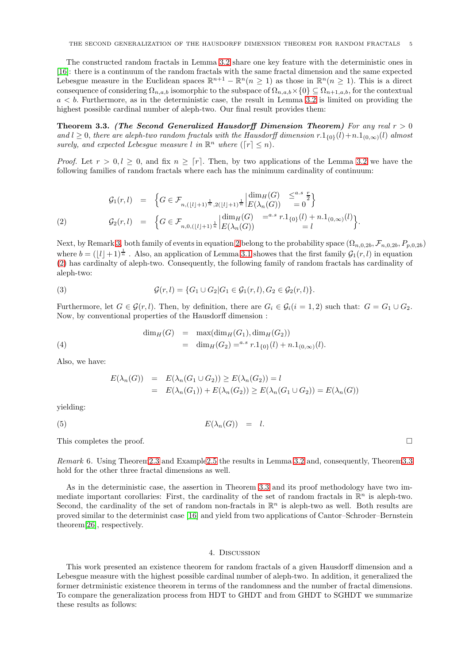The constructed random fractals in Lemma [3.2](#page-3-0) share one key feature with the deterministic ones in [\[16\]](#page-6-15): there is a continuum of the random fractals with the same fractal dimension and the same expected Lebesgue measure in the Euclidean spaces  $\mathbb{R}^{n+1} - \mathbb{R}^n (n \geq 1)$  as those in  $\mathbb{R}^n (n \geq 1)$ . This is a direct consequence of considering  $\Omega_{n,a,b}$  isomorphic to the subspace of  $\Omega_{n,a,b}\times\{0\}\subseteq\Omega_{n+1,a,b}$ , for the contextual  $a < b$ . Furthermore, as in the deterministic case, the result in Lemma [3.2](#page-3-0) is limited on providing the highest possible cardinal number of aleph-two. Our final result provides them:

<span id="page-4-1"></span>Theorem 3.3. (The Second Generalized Hausdorff Dimension Theorem) For any real  $r > 0$ and l ≥ 0, there are aleph-two random fractals with the Hausdorff dimension  $r \cdot 1_{0}$ (l)+n.1<sub>(0,∞)</sub>(l) almost surely, and expected Lebesgue measure l in  $\mathbb{R}^n$  where  $(\lceil r \rceil \leq n)$ .

*Proof.* Let  $r > 0, l > 0$ , and fix  $n > [r]$ . Then, by two applications of the Lemma [3.2](#page-3-0) we have the following families of random fractals where each has the minimum cardinality of continuum:

<span id="page-4-0"></span>
$$
G_1(r, l) = \left\{ G \in \mathcal{F}_{n, (l \downarrow l+1)^{\frac{1}{n}}, 2(l \downarrow l+1)^{\frac{1}{n}} \Big| E(\lambda_n(G))} \leq^{a.s} \frac{r}{2} \right\}
$$
  
\n(2) 
$$
G_2(r, l) = \left\{ G \in \mathcal{F}_{n, 0, (l \downarrow l+1)^{\frac{1}{n}} \Big| E(\lambda_n(G))} =^{a.s} r \cdot 1_{\{0\}}(l) + n \cdot 1_{(0, \infty)}(l) \right\}.
$$

Next, by Remark [3,](#page-1-1) both family of events in equation [2](#page-4-0) belong to the probability space  $(\Omega_{n,0,2b}, \mathcal{F}_{n,0,2b}, P_{p,0,2b})$ where  $b = (\lfloor l \rfloor + 1)^{\frac{1}{n}}$ . Also, an application of Lemma [3.1](#page-3-2) showes that the first family  $\mathcal{G}_1(r, l)$  in equation [\(2\)](#page-4-0) has cardinalty of aleph-two. Consequently, the following family of random fractals has cardinality of aleph-two:

(3) 
$$
\mathcal{G}(r,l) = \{G_1 \cup G_2 | G_1 \in \mathcal{G}_1(r,l), G_2 \in \mathcal{G}_2(r,l)\}.
$$

Furthermore, let  $G \in \mathcal{G}(r, l)$ . Then, by definition, there are  $G_i \in \mathcal{G}_i(i = 1, 2)$  such that:  $G = G_1 \cup G_2$ . Now, by conventional properties of the Hausdorff dimension :

(4) 
$$
\dim_H(G) = \max(\dim_H(G_1), \dim_H(G_2))
$$

$$
= \dim_H(G_2) = \max \{ \dim_H(G_1), \dim_H(G_2) \}.
$$

Also, we have:

$$
E(\lambda_n(G)) = E(\lambda_n(G_1 \cup G_2)) \ge E(\lambda_n(G_2)) = l
$$
  
= 
$$
E(\lambda_n(G_1)) + E(\lambda_n(G_2)) \ge E(\lambda_n(G_1 \cup G_2)) = E(\lambda_n(G))
$$

yielding:

$$
(5) \t\t\t E(\lambda_n(G)) = l.
$$

This completes the proof.  $\Box$ 

Remark 6. Using Theore[m2.3](#page-2-0) and Exampl[e2.5](#page-2-1) the results in Lemma [3.2](#page-3-0) and, consequently, Theore[m3.3](#page-4-1) hold for the other three fractal dimensions as well.

As in the deterministic case, the assertion in Theorem [3.3](#page-4-1) and its proof methodology have two immediate important corollaries: First, the cardinality of the set of random fractals in  $\mathbb{R}^n$  is aleph-two. Second, the cardinality of the set of random non-fractals in  $\mathbb{R}^n$  is aleph-two as well. Both results are proved similar to the determinist case [\[16\]](#page-6-15) and yield from two applications of Cantor–Schroder–Bernstein theorem[\[26\]](#page-7-4), respectively.

#### 4. Discussion

This work presented an existence theorem for random fractals of a given Hausdorff dimension and a Lebesgue measure with the highest possible cardinal number of aleph-two. In addition, it generalized the former detrministic existence theorem in terms of the randomness and the number of fractal dimensions. To compare the generalization process from HDT to GHDT and from GHDT to SGHDT we summarize these results as follows: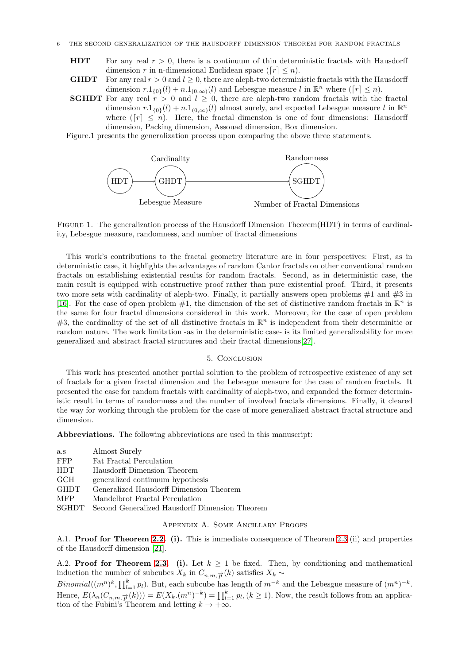- **HDT** For any real  $r > 0$ , there is a continuum of thin deterministic fractals with Hausdorff dimension r in n-dimensional Euclidean space ( $[r] \leq n$ ).
- **GHDT** For any real  $r > 0$  and  $l \geq 0$ , there are aleph-two deterministic fractals with the Hausdorff dimension  $r \cdot 1_{\{0\}}(l) + n \cdot 1_{(0,\infty)}(l)$  and Lebesgue measure l in  $\mathbb{R}^n$  where  $(\lceil r \rceil \leq n)$ .
- **SGHDT** For any real  $r > 0$  and  $l \geq 0$ , there are aleph-two random fractals with the fractal dimension  $r \cdot 1_{\{0\}}(l) + n \cdot 1_{(0,\infty)}(l)$  almost surely, and expected Lebesgue measure l in  $\mathbb{R}^n$ where  $(\lceil r \rceil \leq n)$ . Here, the fractal dimension is one of four dimensions: Hausdorff dimension, Packing dimension, Assouad dimension, Box dimension.
- Figure.1 presents the generalization process upon comparing the above three statements.



FIGURE 1. The generalization process of the Hausdorff Dimension Theorem (HDT) in terms of cardinality, Lebesgue measure, randomness, and number of fractal dimensions

This work's contributions to the fractal geometry literature are in four perspectives: First, as in deterministic case, it highlights the advantages of random Cantor fractals on other conventional random fractals on establishing existential results for random fractals. Second, as in deterministic case, the main result is equipped with constructive proof rather than pure existential proof. Third, it presents two more sets with cardinality of aleph-two. Finally, it partially answers open problems  $#1$  and  $#3$  in [\[16\]](#page-6-15). For the case of open problem  $#1$ , the dimension of the set of distinctive random fractals in  $\mathbb{R}^n$  is the same for four fractal dimensions considered in this work. Moreover, for the case of open problem #3, the cardinality of the set of all distinctive fractals in  $\mathbb{R}^n$  is independent from their determinitic or random nature. The work limitation -as in the deterministic case- is its limited generalizability for more generalized and abstract fractal structures and their fractal dimensions[\[27\]](#page-7-5).

### 5. Conclusion

This work has presented another partial solution to the problem of retrospective existence of any set of fractals for a given fractal dimension and the Lebesgue measure for the case of random fractals. It presented the case for random fractals with cardinality of aleph-two, and expanded the former deterministic result in terms of randomness and the number of involved fractals dimensions. Finally, it cleared the way for working through the problem for the case of more generalized abstract fractal structure and dimension.

Abbreviations. The following abbreviations are used in this manuscript:

| a.s         | Almost Surely                                  |
|-------------|------------------------------------------------|
| <b>FFP</b>  | Fat Fractal Perculation                        |
| <b>HDT</b>  | Hausdorff Dimension Theorem                    |
| GCH.        | generalized continuum hypothesis               |
| <b>GHDT</b> | Generalized Hausdorff Dimension Theorem        |
| <b>MFP</b>  | Mandelbrot Fractal Perculation                 |
| SGHDT       | Second Generalized Hausdorff Dimension Theorem |

### Appendix A. Some Ancillary Proofs

A.1. Proof for Theorem [2.2.](#page-2-2) (i). This is immediate consequence of Theorem [2.3](#page-2-0) (ii) and properties of the Hausdorff dimension [\[21\]](#page-6-20).

A.2. **Proof for Theorem [2.3.](#page-2-0)** (i). Let  $k \geq 1$  be fixed. Then, by conditioning and mathematical induction the number of subcubes  $X_k$  in  $C_{n,m,\vec{p}}(k)$  satisfies  $X_k \sim$ 

Binomial( $(m^n)^k$ ,  $\prod_{l=1}^k p_l$ ). But, each subcube has length of  $m^{-k}$  and the Lebesgue measure of  $(m^n)^{-k}$ . Hence,  $E(\lambda_n(C_{n,m,\overrightarrow{p}}(k))) = E(X_k.(m^n)^{-k}) = \prod_{l=1}^k p_l, (k \ge 1)$ . Now, the result follows from an application of the Fubini's Theorem and letting  $k \to +\infty$ .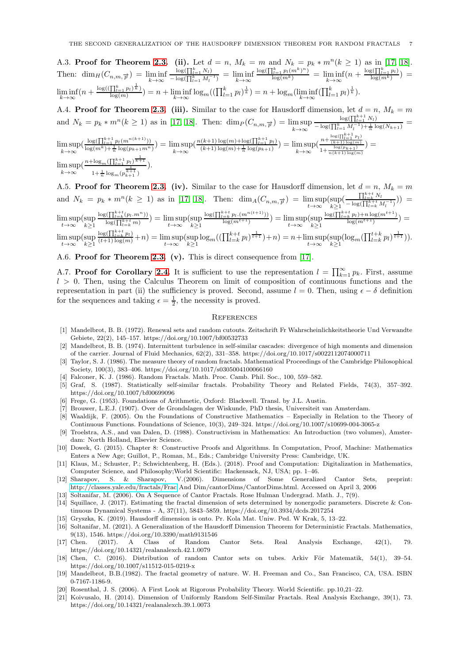A.3. **Proof for Theorem [2.3.](#page-2-0)** (ii). Let  $d = n$ ,  $M_k = m$  and  $N_k = p_k * m^n (k \ge 1)$  as in [\[17,](#page-6-16) [18\]](#page-6-17). Then:  $\dim_H(C_{n,m,\overrightarrow{p}}) = \liminf_{k \to \infty}$  $\log(\prod_{l=1}^k N_l)$  $\frac{\log(11_{l=1}N_l)}{-\log(\prod_{l=1}^kM_l^{-1})} = \liminf_{k\to\infty}$  $\frac{\log(\prod_{l=1}^k p_l(m^k)^n)}{\log(m^k)} = \liminf_{k\to\infty} (n + \frac{\log(\prod_{l=1}^k p_l)}{\log(m^k)}) =$  $\liminf_{k\to\infty} (n+\frac{\log((\prod_{l=1}^k p_l)^{\frac{1}{k}})}{\log(m)})$  $\frac{\prod_{l=1}^{k} p_l(\bar{x}_l)}{\log(m)} = n + \liminf_{k \to \infty} \log_m((\prod_{l=1}^{k} p_l)^{\frac{1}{k}}) = n + \log_m(\liminf_{k \to \infty}(\prod_{l=1}^{k} p_l)^{\frac{1}{k}}).$ 

A.4. **Proof for Theorem [2.3.](#page-2-0)** (iii). Similar to the case for Hausdorff dimension, let  $d = n$ ,  $M_k = m$ and  $N_k = p_k * m^n (k \ge 1)$  as in [\[17,](#page-6-16) [18\]](#page-6-17). Then:  $\dim_P(C_{n,m,\overrightarrow{p}}) = \limsup_{k \to \infty}$  $\log(\prod_{l=1}^{k+1} N_l)$  $\frac{\log(\prod_{l=1}^{k} N_l)}{-\log(\prod_{l=1}^{k} M_l^{-1}) + \frac{1}{n} \log(N_{k+1})} =$  $\limsup_{k \to \infty} \left( \frac{\log(\prod_{l=1}^{k+1} p_l(m^{n(k+1)}))}{\log(m^k) + \frac{1}{n} \log(p_{k+1}m^n)} \right) = \limsup_{k \to \infty} \left( \frac{n(k+1) \log(m) + \log(\prod_{l=1}^{k+1} p_l)}{(k+1) \log(m) + \frac{1}{n} \log(p_{k+1})} \right) = \limsup_{k \to \infty} \left( \frac{n + \frac{\log(\prod_{l=1}^{k+1} p_l)}{(k+1) \log(m)}}{1 + \frac{\log(p_{k+1}) \log(m)}{n(k+1) \log(m)}} \right)$  $\frac{n + (k+1) \log(m)}{1 + \frac{\log(p_{k+1})}{n(k+1) \log(m)}} =$  $\limsup_{k\to\infty} \left(\frac{n+\log_m(\prod_{l=1}^{k+1} p_l)^{\frac{1}{k+1}}}{1+\frac{1}{m}\log_m(p_k^{\frac{k+1}{k+1}})}\right)$ 1  $1+\frac{1}{n}\log_m(p_{k+1}^{\frac{1}{k+1}})$ ).

A.5. Proof for Theorem [2.3.](#page-2-0) (iv). Similar to the case for Hausdorff dimension, let  $d = n$ ,  $M_k = m$ and  $N_k = p_k * m^n (k \ge 1)$  as in [\[17,](#page-6-16) [18\]](#page-6-17). Then:  $\dim_A(C_{n,m,\vec{p}}) = \limsup_{t \to \infty} (\sup_{k \ge 1} (\frac{\prod_{l=k}^{k+t} N_l}{-\log(\prod_{l=k}^{k+t} N_l)})$  $\frac{\prod_{l=k}^{N} V_l}{-\log(\prod_{l=k}^{k+t} M_l^{-1})})$  =  $\limsup_{t\to\infty} (\sup_{k\geq 1}$  $\log(\prod_{l=k}^{k+t}(p_l.m^n))$  $\frac{\log(\prod_{l=k}^{k} (p_l \cdot m^{-l}))}{\log(\prod_{l=k}^{k+t} m)} = \limsup_{t \to \infty} (\sup_{k \geq 1}$  $\log(\prod_{l=k}^{k+t} p_l.(m^{n(t+1)}))$  $\frac{1}{\log(m^{t+1})} = \limsup_{t \to \infty} (\sup_{k \ge 1}$  $\log(\prod_{l=k}^{k+t} p_l) + n \log(m^{t+1})$  $\frac{\binom{k}{k} p_l + n \log(m)}{\log(m^{t+1})} =$  $\limsup_{t\to\infty} (\sup_{k\geq 1}$  $\frac{\log(\prod_{l=k}^{k+t} p_l)}{(t+1)\log(m)} + n) = \limsup_{t\to\infty} (\sup_{k\geq 1} \log_m((\prod_{l=k}^{k+t} p_l)^{\frac{1}{t+1}}) + n) = n + \limsup_{t\to\infty} (\sup_{k\geq 1} (\log_m(\prod_{l=k}^{t+k} p_l)^{\frac{1}{t+1}})).$ 

A.6. Proof for Theorem [2.3.](#page-2-0) (v). This is direct consequence from [\[17\]](#page-6-16).

A.7. Proof for Corollary [2.4.](#page-2-3) It is sufficient to use the representation  $l = \prod_{k=1}^{\infty} p_k$ . First, assume  $l > 0$ . Then, using the Calculus Theorem on limit of composition of continuous functions and the representation in part (ii) the sufficiency is proved. Second, assume  $l = 0$ . Then, using  $\epsilon - \delta$  definition for the sequences and taking  $\epsilon = \frac{1}{2}$ , the necessity is proved.

#### **REFERENCES**

- <span id="page-6-0"></span>[1] Mandelbrot, B. B. (1972). Renewal sets and random cutouts. Zeitschrift Fr Wahrscheinlichkeitstheorie Und Verwandte Gebiete, 22(2), 145–157. https://doi.org/10.1007/bf00532733
- <span id="page-6-1"></span>[2] Mandelbrot, B. B. (1974). Intermittent turbulence in self-similar cascades: divergence of high moments and dimension of the carrier. Journal of Fluid Mechanics, 62(2), 331–358. https://doi.org/10.1017/s0022112074000711
- <span id="page-6-2"></span>[3] Taylor, S. J. (1986). The measure theory of random fractals. Mathematical Proceedings of the Cambridge Philosophical Society, 100(3), 383–406. https://doi.org/10.1017/s0305004100066160
- <span id="page-6-4"></span><span id="page-6-3"></span>[4] Falconer, K. J. (1986). Random Fractals. Math. Proc. Camb. Phil. Soc., 100, 559–582.
- [5] Graf, S. (1987). Statistically self-similar fractals. Probability Theory and Related Fields, 74(3), 357–392. https://doi.org/10.1007/bf00699096
- <span id="page-6-6"></span><span id="page-6-5"></span>[6] Frege, G. (1953). Foundations of Arithmetic, Oxford: Blackwell. Transl. by J.L. Austin.
- <span id="page-6-7"></span>[7] Brouwer, L.E.J. (1907). Over de Grondslagen der Wiskunde, PhD thesis, Universiteit van Amsterdam.
- [8] Waaldijk, F. (2005). On the Foundations of Constructive Mathematics Especially in Relation to the Theory of Continuous Functions. Foundations of Science, 10(3), 249–324. https://doi.org/10.1007/s10699-004-3065-z
- <span id="page-6-8"></span>[9] Troelstra, A.S., and van Dalen, D. (1988). Constructivism in Mathematics: An Introduction (two volumes), Amsterdam: North Holland, Elsevier Science.
- <span id="page-6-9"></span>[10] Dowek, G. (2015). Chapter 8: Constructive Proofs and Algorithms. In Computation, Proof, Machine: Mathematics Enters a New Age; Guillot, P., Roman, M., Eds.; Cambridge University Press: Cambridge, UK.
- <span id="page-6-10"></span>[11] Klaus, M.; Schuster, P.; Schwichtenberg, H. (Eds.). (2018). Proof and Computation: Digitalization in Mathematics, Computer Science, and Philosophy;World Scientific: Hackensack, NJ, USA; pp. 1–46.
- <span id="page-6-11"></span>[12] Sharapov, S. & Sharapov, V.(2006). Dimensions of Some Generalized Cantor Sets, preprint: <http://classes.yale.edu/fractals/Frac> And Dim/cantorDims/CantorDims.html. Accessed on April 3, 2006
- <span id="page-6-13"></span><span id="page-6-12"></span>[13] Soltanifar, M. (2006). On A Sequence of Cantor Fractals. Rose Hulman Undergrad. Math. J., 7(9).
- [14] Squillace, J. (2017). Estimating the fractal dimension of sets determined by nonergodic parameters. Discrete & Continuous Dynamical Systems - A, 37(11), 5843–5859. https://doi.org/10.3934/dcds.2017254
- <span id="page-6-15"></span><span id="page-6-14"></span>[15] Gryszka, K. (2019). Hausdorff dimension is onto. Pr. Kola Mat. Uniw. Ped. W Krak, 5, 13–22.
- [16] Soltanifar, M. (2021). A Generalization of the Hausdorff Dimension Theorem for Deterministic Fractals. Mathematics, 9(13), 1546. https://doi.org/10.3390/math9131546
- <span id="page-6-16"></span>[17] Chen. (2017). A Class of Random Cantor Sets. Real Analysis Exchange, 42(1), 79. https://doi.org/10.14321/realanalexch.42.1.0079
- <span id="page-6-17"></span>[18] Chen, C. (2016). Distribution of random Cantor sets on tubes. Arkiv För Matematik, 54(1), 39–54. https://doi.org/10.1007/s11512-015-0219-x
- <span id="page-6-18"></span>[19] Mandelbrot, B.B.(1982). The fractal geometry of nature. W. H. Freeman and Co., San Francisco, CA, USA. ISBN 0-7167-1186-9.
- <span id="page-6-20"></span><span id="page-6-19"></span>[20] Rosenthal, J. S. (2006). A First Look at Rigorous Probability Theory. World Scientific. pp.10,21–22.
- [21] Koivusalo, H. (2014). Dimension of Uniformly Random Self-Similar Fractals. Real Analysis Exchange, 39(1), 73. https://doi.org/10.14321/realanalexch.39.1.0073